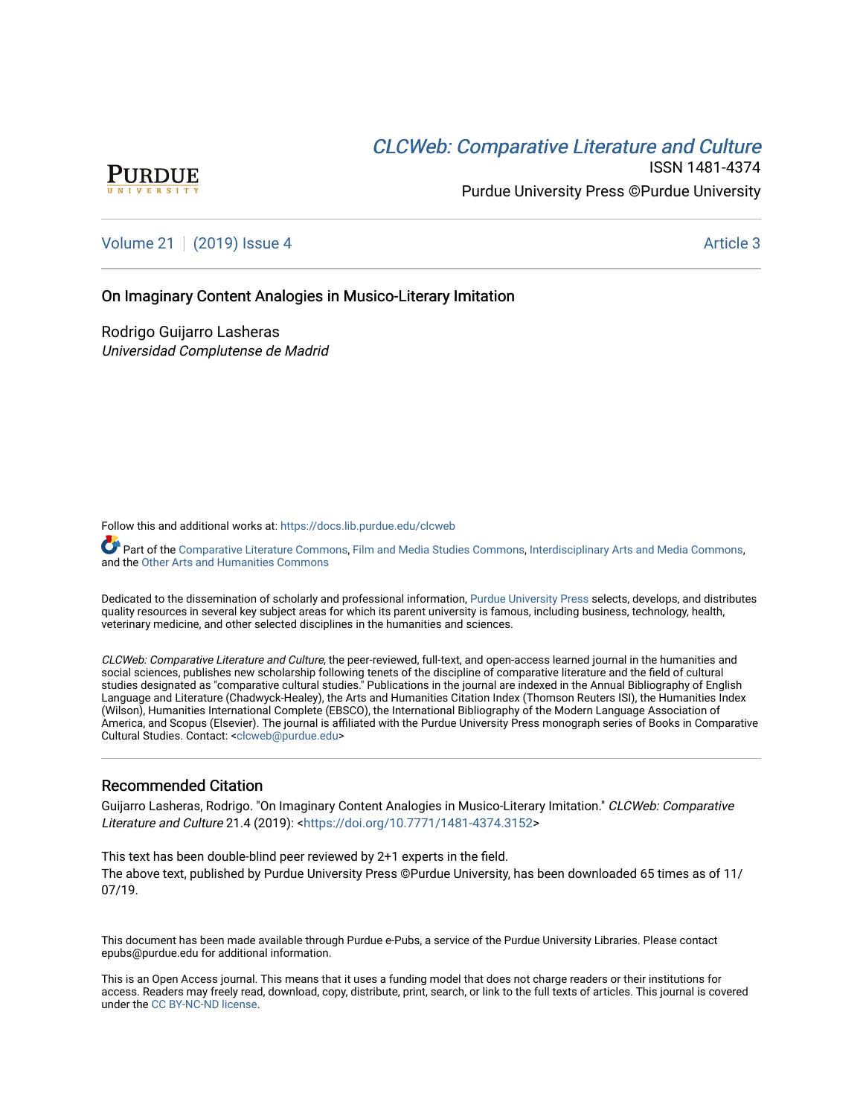# CLCW[eb: Comparative Liter](https://docs.lib.purdue.edu/clcweb)ature and Culture



ISSN 1481-4374 Purdue University Press ©Purdue University

## [Volume 21](https://docs.lib.purdue.edu/clcweb/vol21) | [\(2019\) Issue 4](https://docs.lib.purdue.edu/clcweb/vol21/iss4) Article 3

### On Imaginary Content Analogies in Musico-Literary Imitation

Rodrigo Guijarro Lasheras Universidad Complutense de Madrid

Follow this and additional works at: [https://docs.lib.purdue.edu/clcweb](https://docs.lib.purdue.edu/clcweb?utm_source=docs.lib.purdue.edu%2Fclcweb%2Fvol21%2Fiss4%2F3&utm_medium=PDF&utm_campaign=PDFCoverPages)

Part of the [Comparative Literature Commons,](http://network.bepress.com/hgg/discipline/454?utm_source=docs.lib.purdue.edu%2Fclcweb%2Fvol21%2Fiss4%2F3&utm_medium=PDF&utm_campaign=PDFCoverPages) [Film and Media Studies Commons](http://network.bepress.com/hgg/discipline/563?utm_source=docs.lib.purdue.edu%2Fclcweb%2Fvol21%2Fiss4%2F3&utm_medium=PDF&utm_campaign=PDFCoverPages), [Interdisciplinary Arts and Media Commons](http://network.bepress.com/hgg/discipline/1137?utm_source=docs.lib.purdue.edu%2Fclcweb%2Fvol21%2Fiss4%2F3&utm_medium=PDF&utm_campaign=PDFCoverPages), and the [Other Arts and Humanities Commons](http://network.bepress.com/hgg/discipline/577?utm_source=docs.lib.purdue.edu%2Fclcweb%2Fvol21%2Fiss4%2F3&utm_medium=PDF&utm_campaign=PDFCoverPages) 

Dedicated to the dissemination of scholarly and professional information, [Purdue University Press](http://www.thepress.purdue.edu/) selects, develops, and distributes quality resources in several key subject areas for which its parent university is famous, including business, technology, health, veterinary medicine, and other selected disciplines in the humanities and sciences.

CLCWeb: Comparative Literature and Culture, the peer-reviewed, full-text, and open-access learned journal in the humanities and social sciences, publishes new scholarship following tenets of the discipline of comparative literature and the field of cultural studies designated as "comparative cultural studies." Publications in the journal are indexed in the Annual Bibliography of English Language and Literature (Chadwyck-Healey), the Arts and Humanities Citation Index (Thomson Reuters ISI), the Humanities Index (Wilson), Humanities International Complete (EBSCO), the International Bibliography of the Modern Language Association of America, and Scopus (Elsevier). The journal is affiliated with the Purdue University Press monograph series of Books in Comparative Cultural Studies. Contact: [<clcweb@purdue.edu](mailto:clcweb@purdue.edu)>

### Recommended Citation

Guijarro Lasheras, Rodrigo. "On Imaginary Content Analogies in Musico-Literary Imitation." CLCWeb: Comparative Literature and Culture 21.4 (2019): <<https://doi.org/10.7771/1481-4374.3152>>

This text has been double-blind peer reviewed by 2+1 experts in the field. The above text, published by Purdue University Press ©Purdue University, has been downloaded 65 times as of 11/ 07/19.

This document has been made available through Purdue e-Pubs, a service of the Purdue University Libraries. Please contact epubs@purdue.edu for additional information.

This is an Open Access journal. This means that it uses a funding model that does not charge readers or their institutions for access. Readers may freely read, download, copy, distribute, print, search, or link to the full texts of articles. This journal is covered under the [CC BY-NC-ND license.](https://creativecommons.org/licenses/by-nc-nd/4.0/)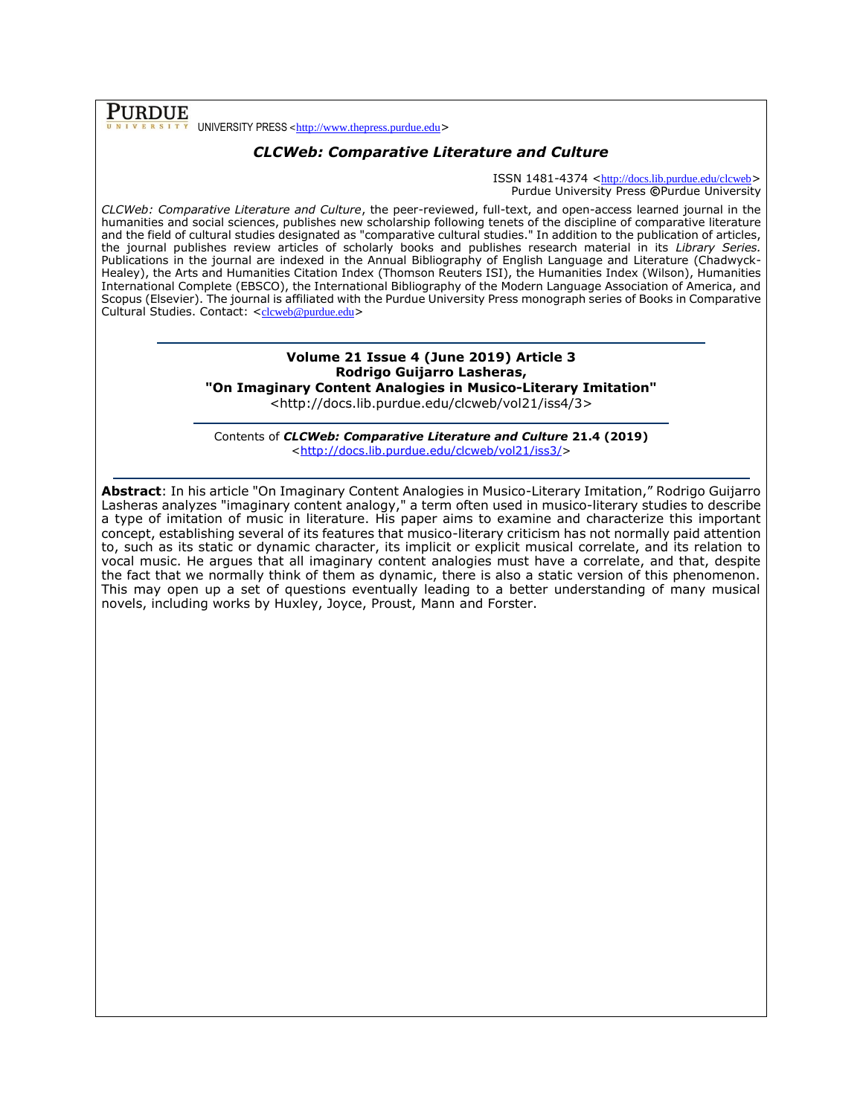### **PURDUE** UNIVERSITY PRESS <[http://www.thepress.purdue.edu](http://www.thepress.purdue.edu/)>

## *CLCWeb: Comparative Literature and Culture*

ISSN 1481-4374 <<http://docs.lib.purdue.edu/clcweb>> Purdue University Press **©**Purdue University

*CLCWeb: Comparative Literature and Culture*, the peer-reviewed, full-text, and open-access learned journal in the humanities and social sciences, publishes new scholarship following tenets of the discipline of comparative literature and the field of cultural studies designated as "comparative cultural studies." In addition to the publication of articles, the journal publishes review articles of scholarly books and publishes research material in its *Library Series.*  Publications in the journal are indexed in the Annual Bibliography of English Language and Literature (Chadwyck-Healey), the Arts and Humanities Citation Index (Thomson Reuters ISI), the Humanities Index (Wilson), Humanities International Complete (EBSCO), the International Bibliography of the Modern Language Association of America, and Scopus (Elsevier). The journal is affiliated with the Purdue University Press monograph series of Books in Comparative Cultural Studies. Contact: <[clcweb@purdue.edu](mailto:clcweb@purdue.edu)>

### **Volume 21 Issue 4 (June 2019) Article 3 Rodrigo Guijarro Lasheras, "On Imaginary Content Analogies in Musico-Literary Imitation"**

<http://docs.lib.purdue.edu/clcweb/vol21/iss4/3>

Contents of *CLCWeb: Comparative Literature and Culture* **21.4 (2019)** [<http://docs.lib.purdue.edu/clcweb/vol21/iss3/>](http://docs.lib.purdue.edu/clcweb/vol21/iss3/)

**Abstract**: In his article "On Imaginary Content Analogies in Musico-Literary Imitation," Rodrigo Guijarro Lasheras analyzes "imaginary content analogy," a term often used in musico-literary studies to describe a type of imitation of music in literature. His paper aims to examine and characterize this important concept, establishing several of its features that musico-literary criticism has not normally paid attention to, such as its static or dynamic character, its implicit or explicit musical correlate, and its relation to vocal music. He argues that all imaginary content analogies must have a correlate, and that, despite the fact that we normally think of them as dynamic, there is also a static version of this phenomenon. This may open up a set of questions eventually leading to a better understanding of many musical novels, including works by Huxley, Joyce, Proust, Mann and Forster.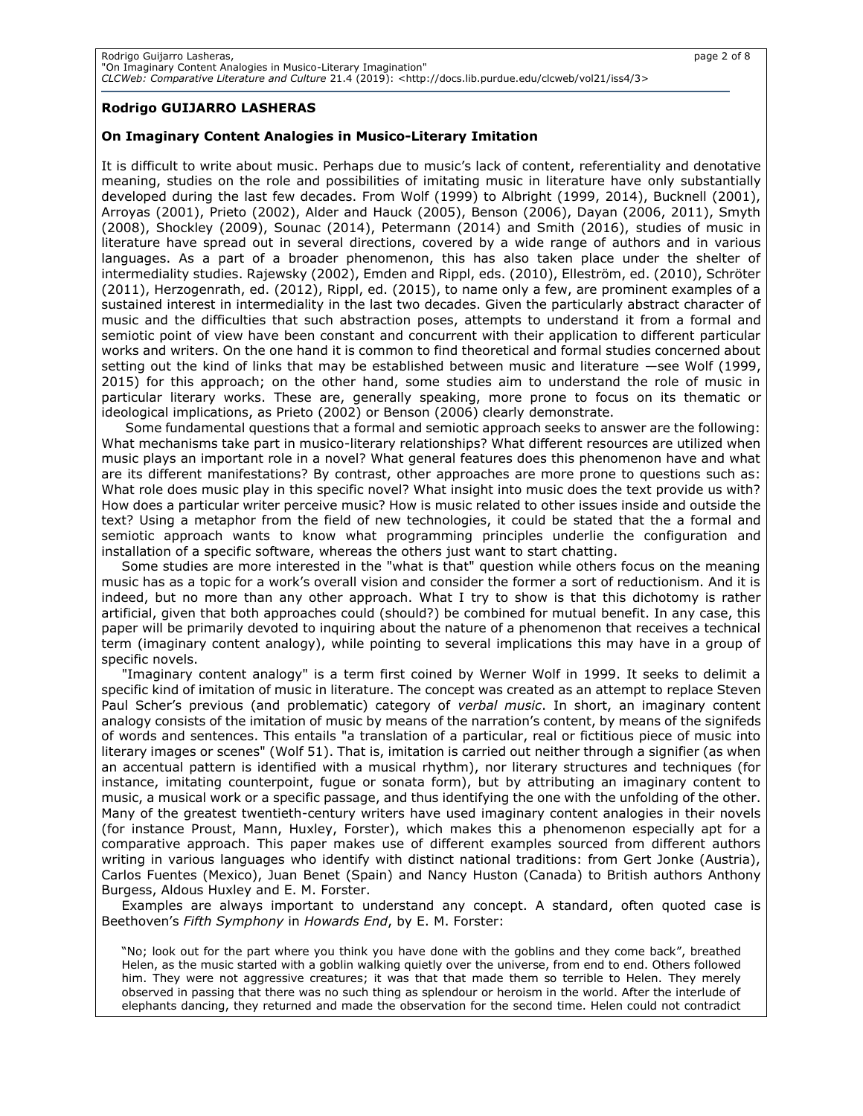### **Rodrigo GUIJARRO LASHERAS**

### **On Imaginary Content Analogies in Musico-Literary Imitation**

It is difficult to write about music. Perhaps due to music's lack of content, referentiality and denotative meaning, studies on the role and possibilities of imitating music in literature have only substantially developed during the last few decades. From Wolf (1999) to Albright (1999, 2014), Bucknell (2001), Arroyas (2001), Prieto (2002), Alder and Hauck (2005), Benson (2006), Dayan (2006, 2011), Smyth (2008), Shockley (2009), Sounac (2014), Petermann (2014) and Smith (2016), studies of music in literature have spread out in several directions, covered by a wide range of authors and in various languages. As a part of a broader phenomenon, this has also taken place under the shelter of intermediality studies. Rajewsky (2002), Emden and Rippl, eds. (2010), Elleström, ed. (2010), Schröter (2011), Herzogenrath, ed. (2012), Rippl, ed. (2015), to name only a few, are prominent examples of a sustained interest in intermediality in the last two decades. Given the particularly abstract character of music and the difficulties that such abstraction poses, attempts to understand it from a formal and semiotic point of view have been constant and concurrent with their application to different particular works and writers. On the one hand it is common to find theoretical and formal studies concerned about setting out the kind of links that may be established between music and literature —see Wolf (1999, 2015) for this approach; on the other hand, some studies aim to understand the role of music in particular literary works. These are, generally speaking, more prone to focus on its thematic or ideological implications, as Prieto (2002) or Benson (2006) clearly demonstrate.

Some fundamental questions that a formal and semiotic approach seeks to answer are the following: What mechanisms take part in musico-literary relationships? What different resources are utilized when music plays an important role in a novel? What general features does this phenomenon have and what are its different manifestations? By contrast, other approaches are more prone to questions such as: What role does music play in this specific novel? What insight into music does the text provide us with? How does a particular writer perceive music? How is music related to other issues inside and outside the text? Using a metaphor from the field of new technologies, it could be stated that the a formal and semiotic approach wants to know what programming principles underlie the configuration and installation of a specific software, whereas the others just want to start chatting.

Some studies are more interested in the "what is that" question while others focus on the meaning music has as a topic for a work's overall vision and consider the former a sort of reductionism. And it is indeed, but no more than any other approach. What I try to show is that this dichotomy is rather artificial, given that both approaches could (should?) be combined for mutual benefit. In any case, this paper will be primarily devoted to inquiring about the nature of a phenomenon that receives a technical term (imaginary content analogy), while pointing to several implications this may have in a group of specific novels.

"Imaginary content analogy" is a term first coined by Werner Wolf in 1999. It seeks to delimit a specific kind of imitation of music in literature. The concept was created as an attempt to replace Steven Paul Scher's previous (and problematic) category of *verbal music*. In short, an imaginary content analogy consists of the imitation of music by means of the narration's content, by means of the signifeds of words and sentences. This entails "a translation of a particular, real or fictitious piece of music into literary images or scenes" (Wolf 51). That is, imitation is carried out neither through a signifier (as when an accentual pattern is identified with a musical rhythm), nor literary structures and techniques (for instance, imitating counterpoint, fugue or sonata form), but by attributing an imaginary content to music, a musical work or a specific passage, and thus identifying the one with the unfolding of the other. Many of the greatest twentieth-century writers have used imaginary content analogies in their novels (for instance Proust, Mann, Huxley, Forster), which makes this a phenomenon especially apt for a comparative approach. This paper makes use of different examples sourced from different authors writing in various languages who identify with distinct national traditions: from Gert Jonke (Austria), Carlos Fuentes (Mexico), Juan Benet (Spain) and Nancy Huston (Canada) to British authors Anthony Burgess, Aldous Huxley and E. M. Forster.

Examples are always important to understand any concept. A standard, often quoted case is Beethoven's *Fifth Symphony* in *Howards End*, by E. M. Forster:

"No; look out for the part where you think you have done with the goblins and they come back", breathed Helen, as the music started with a goblin walking quietly over the universe, from end to end. Others followed him. They were not aggressive creatures; it was that that made them so terrible to Helen. They merely observed in passing that there was no such thing as splendour or heroism in the world. After the interlude of elephants dancing, they returned and made the observation for the second time. Helen could not contradict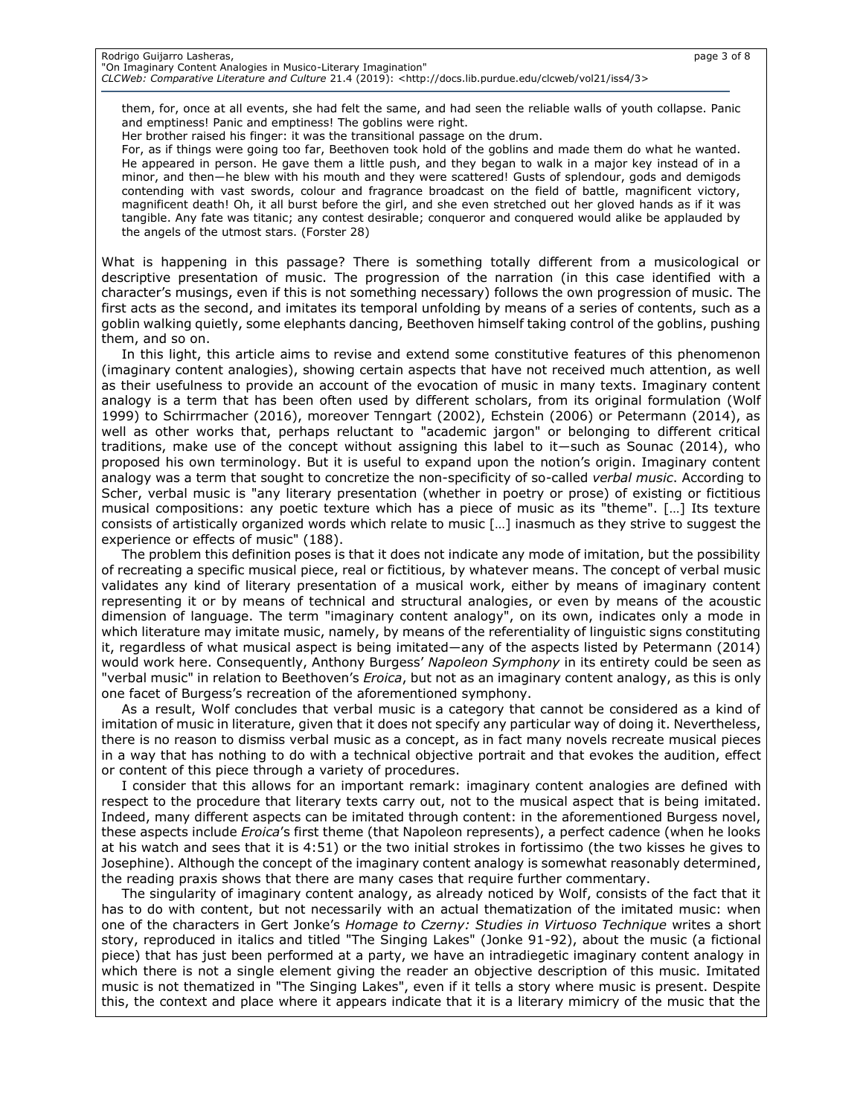### Rodrigo Guijarro Lasheras, page 3 of 8 "On Imaginary Content Analogies in Musico-Literary Imagination"

*CLCWeb: Comparative Literature and Culture* 21.4 (2019): <http://docs.lib.purdue.edu/clcweb/vol21/iss4/3>

them, for, once at all events, she had felt the same, and had seen the reliable walls of youth collapse. Panic and emptiness! Panic and emptiness! The goblins were right.

Her brother raised his finger: it was the transitional passage on the drum.

For, as if things were going too far, Beethoven took hold of the goblins and made them do what he wanted. He appeared in person. He gave them a little push, and they began to walk in a major key instead of in a minor, and then―he blew with his mouth and they were scattered! Gusts of splendour, gods and demigods contending with vast swords, colour and fragrance broadcast on the field of battle, magnificent victory, magnificent death! Oh, it all burst before the girl, and she even stretched out her gloved hands as if it was tangible. Any fate was titanic; any contest desirable; conqueror and conquered would alike be applauded by the angels of the utmost stars. (Forster 28)

What is happening in this passage? There is something totally different from a musicological or descriptive presentation of music. The progression of the narration (in this case identified with a character's musings, even if this is not something necessary) follows the own progression of music. The first acts as the second, and imitates its temporal unfolding by means of a series of contents, such as a goblin walking quietly, some elephants dancing, Beethoven himself taking control of the goblins, pushing them, and so on.

In this light, this article aims to revise and extend some constitutive features of this phenomenon (imaginary content analogies), showing certain aspects that have not received much attention, as well as their usefulness to provide an account of the evocation of music in many texts. Imaginary content analogy is a term that has been often used by different scholars, from its original formulation (Wolf 1999) to Schirrmacher (2016), moreover Tenngart (2002), Echstein (2006) or Petermann (2014), as well as other works that, perhaps reluctant to "academic jargon" or belonging to different critical traditions, make use of the concept without assigning this label to it―such as Sounac (2014), who proposed his own terminology. But it is useful to expand upon the notion's origin. Imaginary content analogy was a term that sought to concretize the non-specificity of so-called *verbal music*. According to Scher, verbal music is "any literary presentation (whether in poetry or prose) of existing or fictitious musical compositions: any poetic texture which has a piece of music as its "theme". […] Its texture consists of artistically organized words which relate to music […] inasmuch as they strive to suggest the experience or effects of music" (188).

The problem this definition poses is that it does not indicate any mode of imitation, but the possibility of recreating a specific musical piece, real or fictitious, by whatever means. The concept of verbal music validates any kind of literary presentation of a musical work, either by means of imaginary content representing it or by means of technical and structural analogies, or even by means of the acoustic dimension of language. The term "imaginary content analogy", on its own, indicates only a mode in which literature may imitate music, namely, by means of the referentiality of linguistic signs constituting it, regardless of what musical aspect is being imitated―any of the aspects listed by Petermann (2014) would work here. Consequently, Anthony Burgess' *Napoleon Symphony* in its entirety could be seen as "verbal music" in relation to Beethoven's *Eroica*, but not as an imaginary content analogy, as this is only one facet of Burgess's recreation of the aforementioned symphony.

As a result, Wolf concludes that verbal music is a category that cannot be considered as a kind of imitation of music in literature, given that it does not specify any particular way of doing it. Nevertheless, there is no reason to dismiss verbal music as a concept, as in fact many novels recreate musical pieces in a way that has nothing to do with a technical objective portrait and that evokes the audition, effect or content of this piece through a variety of procedures.

I consider that this allows for an important remark: imaginary content analogies are defined with respect to the procedure that literary texts carry out, not to the musical aspect that is being imitated. Indeed, many different aspects can be imitated through content: in the aforementioned Burgess novel, these aspects include *Eroica*'s first theme (that Napoleon represents), a perfect cadence (when he looks at his watch and sees that it is 4:51) or the two initial strokes in fortissimo (the two kisses he gives to Josephine). Although the concept of the imaginary content analogy is somewhat reasonably determined, the reading praxis shows that there are many cases that require further commentary.

The singularity of imaginary content analogy, as already noticed by Wolf, consists of the fact that it has to do with content, but not necessarily with an actual thematization of the imitated music: when one of the characters in Gert Jonke's *Homage to Czerny: Studies in Virtuoso Technique* writes a short story, reproduced in italics and titled "The Singing Lakes" (Jonke 91-92), about the music (a fictional piece) that has just been performed at a party, we have an intradiegetic imaginary content analogy in which there is not a single element giving the reader an objective description of this music. Imitated music is not thematized in "The Singing Lakes", even if it tells a story where music is present. Despite this, the context and place where it appears indicate that it is a literary mimicry of the music that the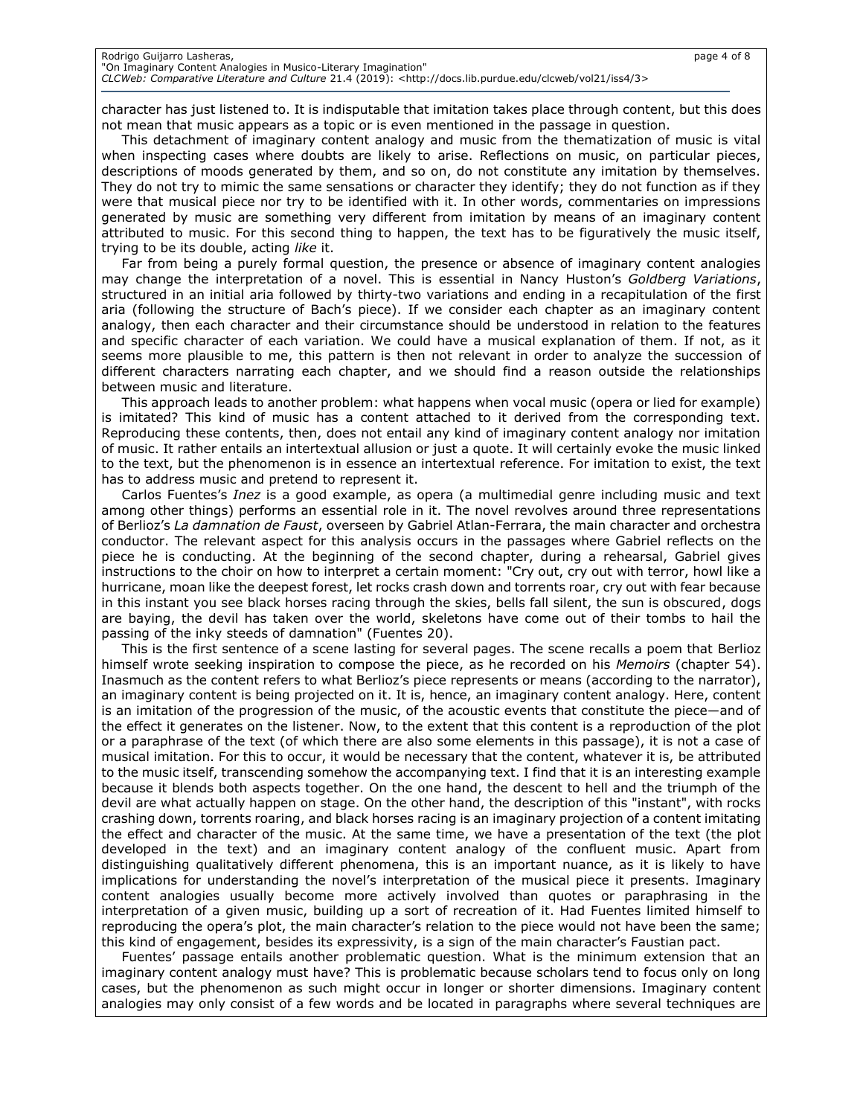character has just listened to. It is indisputable that imitation takes place through content, but this does not mean that music appears as a topic or is even mentioned in the passage in question.

This detachment of imaginary content analogy and music from the thematization of music is vital when inspecting cases where doubts are likely to arise. Reflections on music, on particular pieces, descriptions of moods generated by them, and so on, do not constitute any imitation by themselves. They do not try to mimic the same sensations or character they identify; they do not function as if they were that musical piece nor try to be identified with it. In other words, commentaries on impressions generated by music are something very different from imitation by means of an imaginary content attributed to music. For this second thing to happen, the text has to be figuratively the music itself, trying to be its double, acting *like* it.

Far from being a purely formal question, the presence or absence of imaginary content analogies may change the interpretation of a novel. This is essential in Nancy Huston's *Goldberg Variations*, structured in an initial aria followed by thirty-two variations and ending in a recapitulation of the first aria (following the structure of Bach's piece). If we consider each chapter as an imaginary content analogy, then each character and their circumstance should be understood in relation to the features and specific character of each variation. We could have a musical explanation of them. If not, as it seems more plausible to me, this pattern is then not relevant in order to analyze the succession of different characters narrating each chapter, and we should find a reason outside the relationships between music and literature.

This approach leads to another problem: what happens when vocal music (opera or lied for example) is imitated? This kind of music has a content attached to it derived from the corresponding text. Reproducing these contents, then, does not entail any kind of imaginary content analogy nor imitation of music. It rather entails an intertextual allusion or just a quote. It will certainly evoke the music linked to the text, but the phenomenon is in essence an intertextual reference. For imitation to exist, the text has to address music and pretend to represent it.

Carlos Fuentes's *Inez* is a good example, as opera (a multimedial genre including music and text among other things) performs an essential role in it. The novel revolves around three representations of Berlioz's *La damnation de Faust*, overseen by Gabriel Atlan-Ferrara, the main character and orchestra conductor. The relevant aspect for this analysis occurs in the passages where Gabriel reflects on the piece he is conducting. At the beginning of the second chapter, during a rehearsal, Gabriel gives instructions to the choir on how to interpret a certain moment: "Cry out, cry out with terror, howl like a hurricane, moan like the deepest forest, let rocks crash down and torrents roar, cry out with fear because in this instant you see black horses racing through the skies, bells fall silent, the sun is obscured, dogs are baying, the devil has taken over the world, skeletons have come out of their tombs to hail the passing of the inky steeds of damnation" (Fuentes 20).

This is the first sentence of a scene lasting for several pages. The scene recalls a poem that Berlioz himself wrote seeking inspiration to compose the piece, as he recorded on his *Memoirs* (chapter 54). Inasmuch as the content refers to what Berlioz's piece represents or means (according to the narrator), an imaginary content is being projected on it. It is, hence, an imaginary content analogy. Here, content is an imitation of the progression of the music, of the acoustic events that constitute the piece―and of the effect it generates on the listener. Now, to the extent that this content is a reproduction of the plot or a paraphrase of the text (of which there are also some elements in this passage), it is not a case of musical imitation. For this to occur, it would be necessary that the content, whatever it is, be attributed to the music itself, transcending somehow the accompanying text. I find that it is an interesting example because it blends both aspects together. On the one hand, the descent to hell and the triumph of the devil are what actually happen on stage. On the other hand, the description of this "instant", with rocks crashing down, torrents roaring, and black horses racing is an imaginary projection of a content imitating the effect and character of the music. At the same time, we have a presentation of the text (the plot developed in the text) and an imaginary content analogy of the confluent music. Apart from distinguishing qualitatively different phenomena, this is an important nuance, as it is likely to have implications for understanding the novel's interpretation of the musical piece it presents. Imaginary content analogies usually become more actively involved than quotes or paraphrasing in the interpretation of a given music, building up a sort of recreation of it. Had Fuentes limited himself to reproducing the opera's plot, the main character's relation to the piece would not have been the same; this kind of engagement, besides its expressivity, is a sign of the main character's Faustian pact.

Fuentes' passage entails another problematic question. What is the minimum extension that an imaginary content analogy must have? This is problematic because scholars tend to focus only on long cases, but the phenomenon as such might occur in longer or shorter dimensions. Imaginary content analogies may only consist of a few words and be located in paragraphs where several techniques are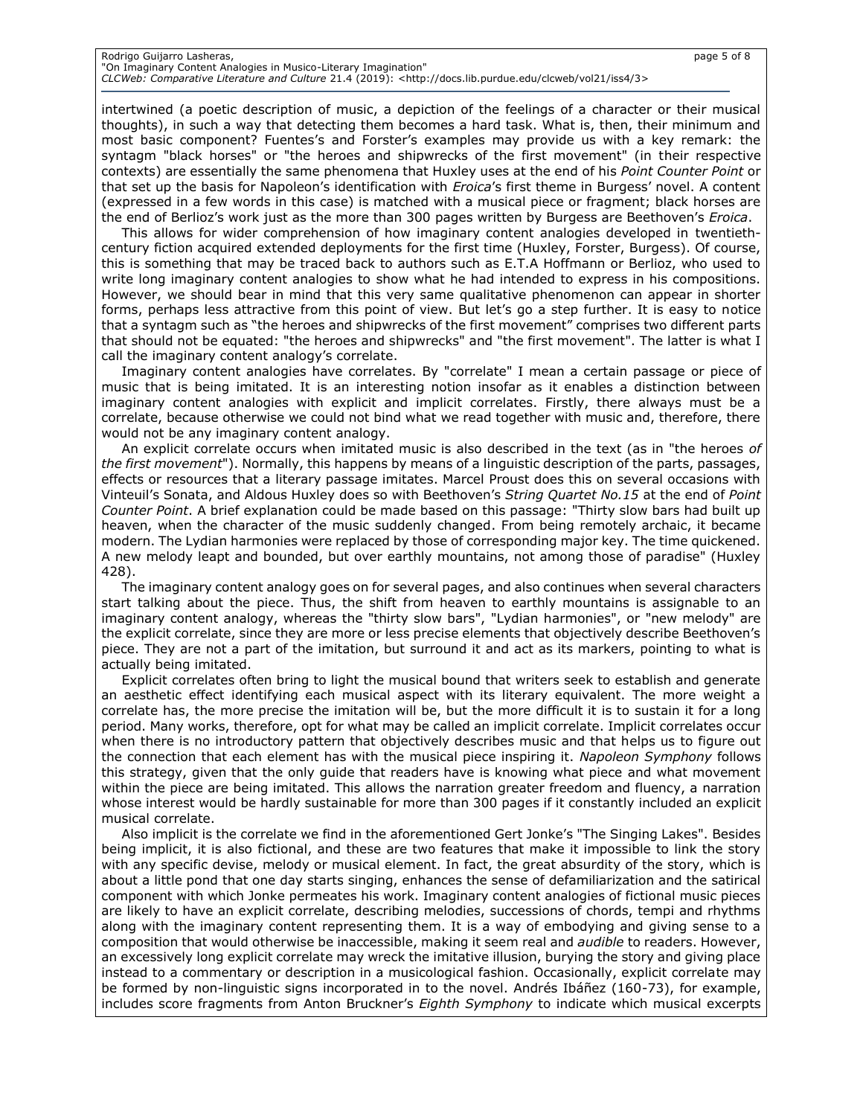### Rodrigo Guijarro Lasheras, page 5 of 8 "On Imaginary Content Analogies in Musico-Literary Imagination"

*CLCWeb: Comparative Literature and Culture* 21.4 (2019): <http://docs.lib.purdue.edu/clcweb/vol21/iss4/3>

intertwined (a poetic description of music, a depiction of the feelings of a character or their musical thoughts), in such a way that detecting them becomes a hard task. What is, then, their minimum and most basic component? Fuentes's and Forster's examples may provide us with a key remark: the syntagm "black horses" or "the heroes and shipwrecks of the first movement" (in their respective contexts) are essentially the same phenomena that Huxley uses at the end of his *Point Counter Point* or that set up the basis for Napoleon's identification with *Eroica*'s first theme in Burgess' novel. A content (expressed in a few words in this case) is matched with a musical piece or fragment; black horses are the end of Berlioz's work just as the more than 300 pages written by Burgess are Beethoven's *Eroica*.

This allows for wider comprehension of how imaginary content analogies developed in twentiethcentury fiction acquired extended deployments for the first time (Huxley, Forster, Burgess). Of course, this is something that may be traced back to authors such as E.T.A Hoffmann or Berlioz, who used to write long imaginary content analogies to show what he had intended to express in his compositions. However, we should bear in mind that this very same qualitative phenomenon can appear in shorter forms, perhaps less attractive from this point of view. But let's go a step further. It is easy to notice that a syntagm such as "the heroes and shipwrecks of the first movement" comprises two different parts that should not be equated: "the heroes and shipwrecks" and "the first movement". The latter is what I call the imaginary content analogy's correlate.

Imaginary content analogies have correlates. By "correlate" I mean a certain passage or piece of music that is being imitated. It is an interesting notion insofar as it enables a distinction between imaginary content analogies with explicit and implicit correlates. Firstly, there always must be a correlate, because otherwise we could not bind what we read together with music and, therefore, there would not be any imaginary content analogy.

An explicit correlate occurs when imitated music is also described in the text (as in "the heroes *of the first movement*"). Normally, this happens by means of a linguistic description of the parts, passages, effects or resources that a literary passage imitates. Marcel Proust does this on several occasions with Vinteuil's Sonata, and Aldous Huxley does so with Beethoven's *String Quartet No.15* at the end of *Point Counter Point*. A brief explanation could be made based on this passage: "Thirty slow bars had built up heaven, when the character of the music suddenly changed. From being remotely archaic, it became modern. The Lydian harmonies were replaced by those of corresponding major key. The time quickened. A new melody leapt and bounded, but over earthly mountains, not among those of paradise" (Huxley 428).

The imaginary content analogy goes on for several pages, and also continues when several characters start talking about the piece. Thus, the shift from heaven to earthly mountains is assignable to an imaginary content analogy, whereas the "thirty slow bars", "Lydian harmonies", or "new melody" are the explicit correlate, since they are more or less precise elements that objectively describe Beethoven's piece. They are not a part of the imitation, but surround it and act as its markers, pointing to what is actually being imitated.

Explicit correlates often bring to light the musical bound that writers seek to establish and generate an aesthetic effect identifying each musical aspect with its literary equivalent. The more weight a correlate has, the more precise the imitation will be, but the more difficult it is to sustain it for a long period. Many works, therefore, opt for what may be called an implicit correlate. Implicit correlates occur when there is no introductory pattern that objectively describes music and that helps us to figure out the connection that each element has with the musical piece inspiring it. *Napoleon Symphony* follows this strategy, given that the only guide that readers have is knowing what piece and what movement within the piece are being imitated. This allows the narration greater freedom and fluency, a narration whose interest would be hardly sustainable for more than 300 pages if it constantly included an explicit musical correlate.

Also implicit is the correlate we find in the aforementioned Gert Jonke's "The Singing Lakes". Besides being implicit, it is also fictional, and these are two features that make it impossible to link the story with any specific devise, melody or musical element. In fact, the great absurdity of the story, which is about a little pond that one day starts singing, enhances the sense of defamiliarization and the satirical component with which Jonke permeates his work. Imaginary content analogies of fictional music pieces are likely to have an explicit correlate, describing melodies, successions of chords, tempi and rhythms along with the imaginary content representing them. It is a way of embodying and giving sense to a composition that would otherwise be inaccessible, making it seem real and *audible* to readers. However, an excessively long explicit correlate may wreck the imitative illusion, burying the story and giving place instead to a commentary or description in a musicological fashion. Occasionally, explicit correlate may be formed by non-linguistic signs incorporated in to the novel. Andrés Ibáñez (160-73), for example, includes score fragments from Anton Bruckner's *Eighth Symphony* to indicate which musical excerpts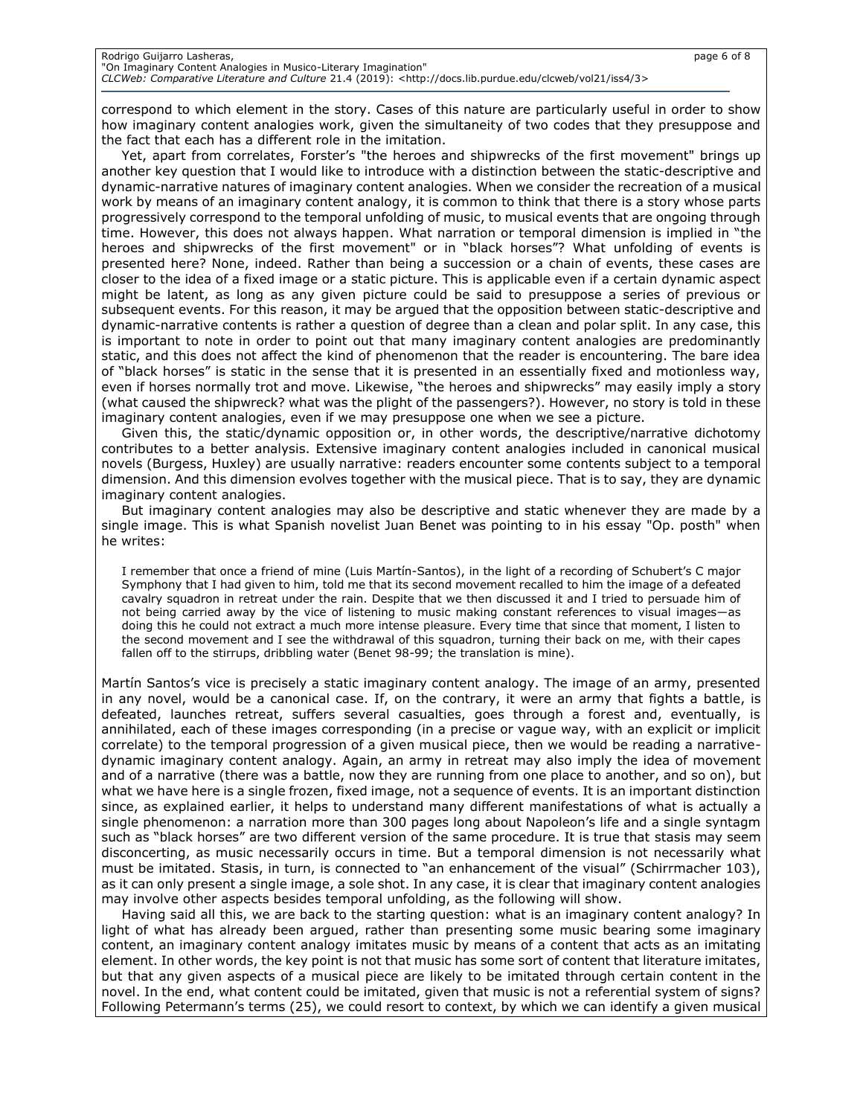correspond to which element in the story. Cases of this nature are particularly useful in order to show how imaginary content analogies work, given the simultaneity of two codes that they presuppose and the fact that each has a different role in the imitation.

Yet, apart from correlates, Forster's "the heroes and shipwrecks of the first movement" brings up another key question that I would like to introduce with a distinction between the static-descriptive and dynamic-narrative natures of imaginary content analogies. When we consider the recreation of a musical work by means of an imaginary content analogy, it is common to think that there is a story whose parts progressively correspond to the temporal unfolding of music, to musical events that are ongoing through time. However, this does not always happen. What narration or temporal dimension is implied in "the heroes and shipwrecks of the first movement" or in "black horses"? What unfolding of events is presented here? None, indeed. Rather than being a succession or a chain of events, these cases are closer to the idea of a fixed image or a static picture. This is applicable even if a certain dynamic aspect might be latent, as long as any given picture could be said to presuppose a series of previous or subsequent events. For this reason, it may be argued that the opposition between static-descriptive and dynamic-narrative contents is rather a question of degree than a clean and polar split. In any case, this is important to note in order to point out that many imaginary content analogies are predominantly static, and this does not affect the kind of phenomenon that the reader is encountering. The bare idea of "black horses" is static in the sense that it is presented in an essentially fixed and motionless way, even if horses normally trot and move. Likewise, "the heroes and shipwrecks" may easily imply a story (what caused the shipwreck? what was the plight of the passengers?). However, no story is told in these imaginary content analogies, even if we may presuppose one when we see a picture.

Given this, the static/dynamic opposition or, in other words, the descriptive/narrative dichotomy contributes to a better analysis. Extensive imaginary content analogies included in canonical musical novels (Burgess, Huxley) are usually narrative: readers encounter some contents subject to a temporal dimension. And this dimension evolves together with the musical piece. That is to say, they are dynamic imaginary content analogies.

But imaginary content analogies may also be descriptive and static whenever they are made by a single image. This is what Spanish novelist Juan Benet was pointing to in his essay "Op. posth" when he writes:

I remember that once a friend of mine (Luis Martín-Santos), in the light of a recording of Schubert's C major Symphony that I had given to him, told me that its second movement recalled to him the image of a defeated cavalry squadron in retreat under the rain. Despite that we then discussed it and I tried to persuade him of not being carried away by the vice of listening to music making constant references to visual images―as doing this he could not extract a much more intense pleasure. Every time that since that moment, I listen to the second movement and I see the withdrawal of this squadron, turning their back on me, with their capes fallen off to the stirrups, dribbling water (Benet 98-99; the translation is mine).

Martín Santos's vice is precisely a static imaginary content analogy. The image of an army, presented in any novel, would be a canonical case. If, on the contrary, it were an army that fights a battle, is defeated, launches retreat, suffers several casualties, goes through a forest and, eventually, is annihilated, each of these images corresponding (in a precise or vague way, with an explicit or implicit correlate) to the temporal progression of a given musical piece, then we would be reading a narrativedynamic imaginary content analogy. Again, an army in retreat may also imply the idea of movement and of a narrative (there was a battle, now they are running from one place to another, and so on), but what we have here is a single frozen, fixed image, not a sequence of events. It is an important distinction since, as explained earlier, it helps to understand many different manifestations of what is actually a single phenomenon: a narration more than 300 pages long about Napoleon's life and a single syntagm such as "black horses" are two different version of the same procedure. It is true that stasis may seem disconcerting, as music necessarily occurs in time. But a temporal dimension is not necessarily what must be imitated. Stasis, in turn, is connected to "an enhancement of the visual" (Schirrmacher 103), as it can only present a single image, a sole shot. In any case, it is clear that imaginary content analogies may involve other aspects besides temporal unfolding, as the following will show.

Having said all this, we are back to the starting question: what is an imaginary content analogy? In light of what has already been argued, rather than presenting some music bearing some imaginary content, an imaginary content analogy imitates music by means of a content that acts as an imitating element. In other words, the key point is not that music has some sort of content that literature imitates, but that any given aspects of a musical piece are likely to be imitated through certain content in the novel. In the end, what content could be imitated, given that music is not a referential system of signs? Following Petermann's terms (25), we could resort to context, by which we can identify a given musical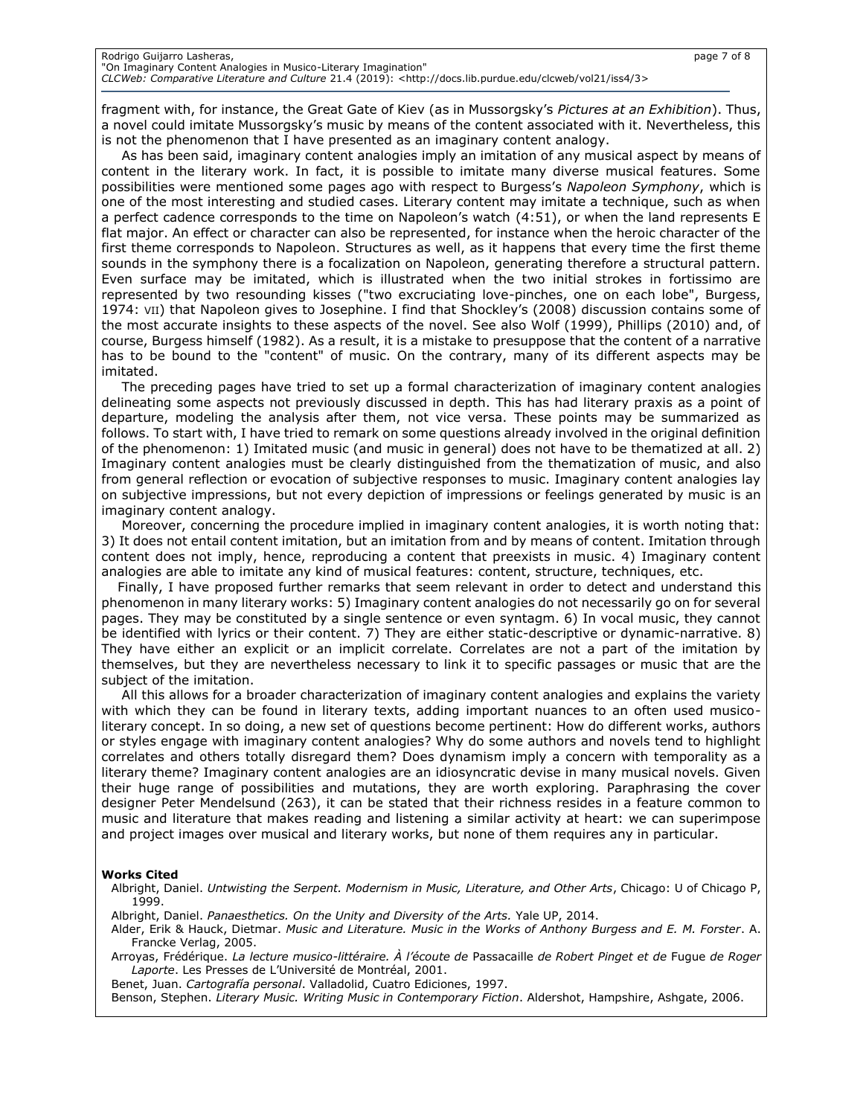fragment with, for instance, the Great Gate of Kiev (as in Mussorgsky's *Pictures at an Exhibition*). Thus, a novel could imitate Mussorgsky's music by means of the content associated with it. Nevertheless, this is not the phenomenon that I have presented as an imaginary content analogy.

As has been said, imaginary content analogies imply an imitation of any musical aspect by means of content in the literary work. In fact, it is possible to imitate many diverse musical features. Some possibilities were mentioned some pages ago with respect to Burgess's *Napoleon Symphony*, which is one of the most interesting and studied cases. Literary content may imitate a technique, such as when a perfect cadence corresponds to the time on Napoleon's watch (4:51), or when the land represents E flat major. An effect or character can also be represented, for instance when the heroic character of the first theme corresponds to Napoleon. Structures as well, as it happens that every time the first theme sounds in the symphony there is a focalization on Napoleon, generating therefore a structural pattern. Even surface may be imitated, which is illustrated when the two initial strokes in fortissimo are represented by two resounding kisses ("two excruciating love-pinches, one on each lobe", Burgess, 1974: VII) that Napoleon gives to Josephine. I find that Shockley's (2008) discussion contains some of the most accurate insights to these aspects of the novel. See also Wolf (1999), Phillips (2010) and, of course, Burgess himself (1982). As a result, it is a mistake to presuppose that the content of a narrative has to be bound to the "content" of music. On the contrary, many of its different aspects may be imitated.

The preceding pages have tried to set up a formal characterization of imaginary content analogies delineating some aspects not previously discussed in depth. This has had literary praxis as a point of departure, modeling the analysis after them, not vice versa. These points may be summarized as follows. To start with, I have tried to remark on some questions already involved in the original definition of the phenomenon: 1) Imitated music (and music in general) does not have to be thematized at all. 2) Imaginary content analogies must be clearly distinguished from the thematization of music, and also from general reflection or evocation of subjective responses to music. Imaginary content analogies lay on subjective impressions, but not every depiction of impressions or feelings generated by music is an imaginary content analogy.

Moreover, concerning the procedure implied in imaginary content analogies, it is worth noting that: 3) It does not entail content imitation, but an imitation from and by means of content. Imitation through content does not imply, hence, reproducing a content that preexists in music. 4) Imaginary content analogies are able to imitate any kind of musical features: content, structure, techniques, etc.

Finally, I have proposed further remarks that seem relevant in order to detect and understand this phenomenon in many literary works: 5) Imaginary content analogies do not necessarily go on for several pages. They may be constituted by a single sentence or even syntagm. 6) In vocal music, they cannot be identified with lyrics or their content. 7) They are either static-descriptive or dynamic-narrative. 8) They have either an explicit or an implicit correlate. Correlates are not a part of the imitation by themselves, but they are nevertheless necessary to link it to specific passages or music that are the subject of the imitation.

All this allows for a broader characterization of imaginary content analogies and explains the variety with which they can be found in literary texts, adding important nuances to an often used musicoliterary concept. In so doing, a new set of questions become pertinent: How do different works, authors or styles engage with imaginary content analogies? Why do some authors and novels tend to highlight correlates and others totally disregard them? Does dynamism imply a concern with temporality as a literary theme? Imaginary content analogies are an idiosyncratic devise in many musical novels. Given their huge range of possibilities and mutations, they are worth exploring. Paraphrasing the cover designer Peter Mendelsund (263), it can be stated that their richness resides in a feature common to music and literature that makes reading and listening a similar activity at heart: we can superimpose and project images over musical and literary works, but none of them requires any in particular.

### **Works Cited**

Albright, Daniel. *Untwisting the Serpent. Modernism in Music, Literature, and Other Arts*, Chicago: U of Chicago P, 1999.

- Albright, Daniel. *Panaesthetics. On the Unity and Diversity of the Arts.* Yale UP, 2014.
- Alder, Erik & Hauck, Dietmar. *Music and Literature. Music in the Works of Anthony Burgess and E. M. Forster*. A. Francke Verlag, 2005.

Arroyas, Frédérique. *La lecture musico-littéraire. À l'écoute de* Passacaille *de Robert Pinget et de* Fugue *de Roger Laporte*. Les Presses de L'Université de Montréal, 2001.

Benet, Juan. *Cartografía personal*. Valladolid, Cuatro Ediciones, 1997.

Benson, Stephen. *Literary Music. Writing Music in Contemporary Fiction*. Aldershot, Hampshire, Ashgate, 2006.